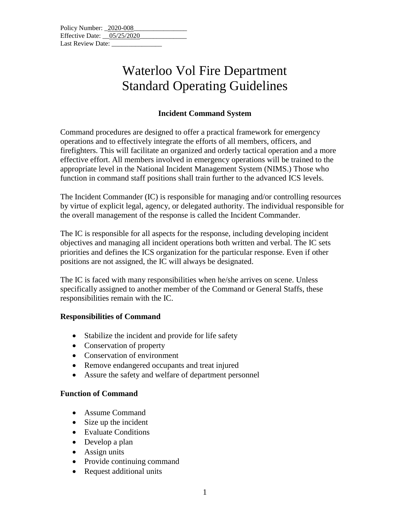| Policy Number: 2020-008      |  |  |
|------------------------------|--|--|
| Effective Date: $05/25/2020$ |  |  |
| Last Review Date:            |  |  |

# Waterloo Vol Fire Department Standard Operating Guidelines

### **Incident Command System**

Command procedures are designed to offer a practical framework for emergency operations and to effectively integrate the efforts of all members, officers, and firefighters. This will facilitate an organized and orderly tactical operation and a more effective effort. All members involved in emergency operations will be trained to the appropriate level in the National Incident Management System (NIMS.) Those who function in command staff positions shall train further to the advanced ICS levels.

The Incident Commander (IC) is responsible for managing and/or controlling resources by virtue of explicit legal, agency, or delegated authority. The individual responsible for the overall management of the response is called the Incident Commander.

The IC is responsible for all aspects for the response, including developing incident objectives and managing all incident operations both written and verbal. The IC sets priorities and defines the ICS organization for the particular response. Even if other positions are not assigned, the IC will always be designated.

The IC is faced with many responsibilities when he/she arrives on scene. Unless specifically assigned to another member of the Command or General Staffs, these responsibilities remain with the IC.

#### **Responsibilities of Command**

- Stabilize the incident and provide for life safety
- Conservation of property
- Conservation of environment
- Remove endangered occupants and treat injured
- Assure the safety and welfare of department personnel

#### **Function of Command**

- Assume Command
- Size up the incident
- Evaluate Conditions
- Develop a plan
- Assign units
- Provide continuing command
- Request additional units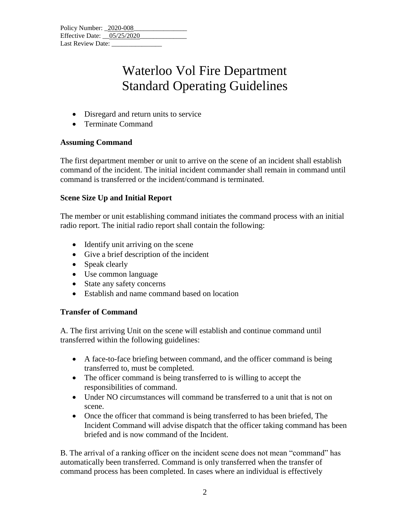| Policy Number: 2020-008      |  |  |
|------------------------------|--|--|
| Effective Date: $05/25/2020$ |  |  |
| Last Review Date:            |  |  |

# Waterloo Vol Fire Department Standard Operating Guidelines

- Disregard and return units to service
- Terminate Command

### **Assuming Command**

The first department member or unit to arrive on the scene of an incident shall establish command of the incident. The initial incident commander shall remain in command until command is transferred or the incident/command is terminated.

### **Scene Size Up and Initial Report**

The member or unit establishing command initiates the command process with an initial radio report. The initial radio report shall contain the following:

- Identify unit arriving on the scene
- Give a brief description of the incident
- Speak clearly
- Use common language
- State any safety concerns
- Establish and name command based on location

### **Transfer of Command**

A. The first arriving Unit on the scene will establish and continue command until transferred within the following guidelines:

- A face-to-face briefing between command, and the officer command is being transferred to, must be completed.
- The officer command is being transferred to is willing to accept the responsibilities of command.
- Under NO circumstances will command be transferred to a unit that is not on scene.
- Once the officer that command is being transferred to has been briefed, The Incident Command will advise dispatch that the officer taking command has been briefed and is now command of the Incident.

B. The arrival of a ranking officer on the incident scene does not mean "command" has automatically been transferred. Command is only transferred when the transfer of command process has been completed. In cases where an individual is effectively